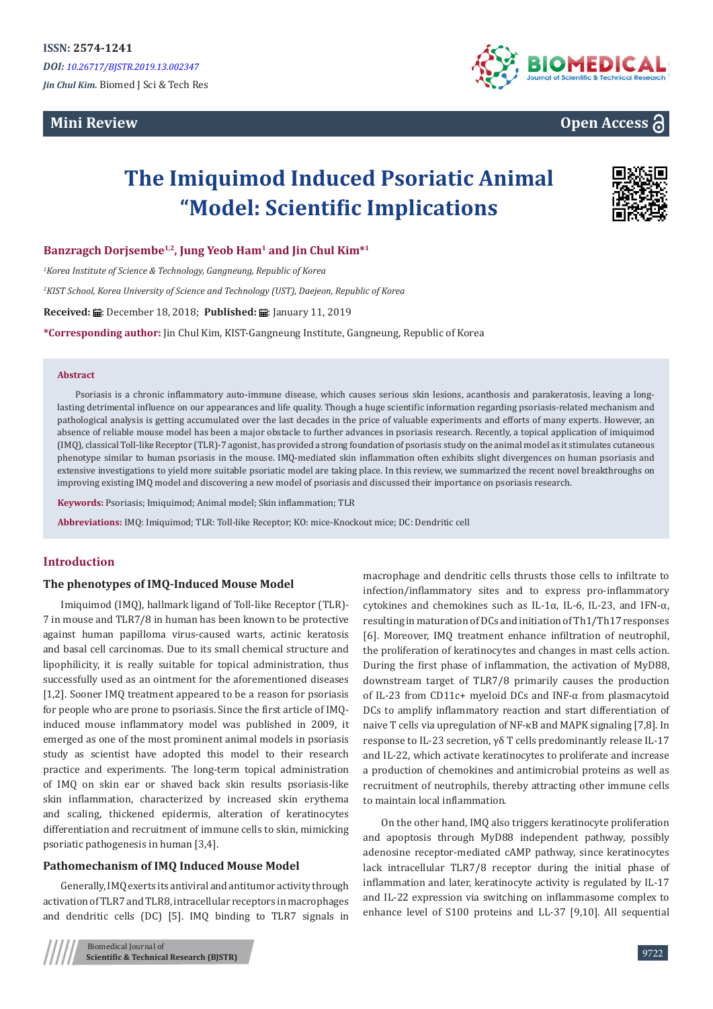## **Mini Review**



## **Open Access**

# **The Imiquimod Induced Psoriatic Animal "Model: Scientific Implications**



**Banzragch Dorjsembe1,2, Jung Yeob Ham<sup>1</sup> and Jin Chul Kim\*<sup>1</sup>**

*1 Korea Institute of Science & Technology, Gangneung, Republic of Korea*

*2 KIST School, Korea University of Science and Technology (UST), Daejeon, Republic of Korea*

**Received: : :** December 18, 2018; Published: #: January 11, 2019

**\*Corresponding author:** Jin Chul Kim, KIST-Gangneung Institute, Gangneung, Republic of Korea

#### **Abstract**

Psoriasis is a chronic inflammatory auto-immune disease, which causes serious skin lesions, acanthosis and parakeratosis, leaving a longlasting detrimental influence on our appearances and life quality. Though a huge scientific information regarding psoriasis-related mechanism and pathological analysis is getting accumulated over the last decades in the price of valuable experiments and efforts of many experts. However, an absence of reliable mouse model has been a major obstacle to further advances in psoriasis research. Recently, a topical application of imiquimod (IMQ), classical Toll-like Receptor (TLR)-7 agonist, has provided a strong foundation of psoriasis study on the animal model as it stimulates cutaneous phenotype similar to human psoriasis in the mouse. IMQ-mediated skin inflammation often exhibits slight divergences on human psoriasis and extensive investigations to yield more suitable psoriatic model are taking place. In this review, we summarized the recent novel breakthroughs on improving existing IMQ model and discovering a new model of psoriasis and discussed their importance on psoriasis research.

**Keywords:** Psoriasis; Imiquimod; Animal model; Skin inflammation; TLR

**Abbreviations:** IMQ: Imiquimod; TLR: Toll-like Receptor; KO: mice-Knockout mice; DC: Dendritic cell

#### **Introduction**

#### **The phenotypes of IMQ-Induced Mouse Model**

Imiquimod (IMQ), hallmark ligand of Toll-like Receptor (TLR)- 7 in mouse and TLR7/8 in human has been known to be protective against human papilloma virus-caused warts, actinic keratosis and basal cell carcinomas. Due to its small chemical structure and lipophilicity, it is really suitable for topical administration, thus successfully used as an ointment for the aforementioned diseases [1,2]. Sooner IMQ treatment appeared to be a reason for psoriasis for people who are prone to psoriasis. Since the first article of IMQinduced mouse inflammatory model was published in 2009, it emerged as one of the most prominent animal models in psoriasis study as scientist have adopted this model to their research practice and experiments. The long-term topical administration of IMQ on skin ear or shaved back skin results psoriasis-like skin inflammation, characterized by increased skin erythema and scaling, thickened epidermis, alteration of keratinocytes differentiation and recruitment of immune cells to skin, mimicking psoriatic pathogenesis in human [3,4].

#### **Pathomechanism of IMQ Induced Mouse Model**

Generally, IMQ exerts its antiviral and antitumor activity through activation of TLR7 and TLR8, intracellular receptors in macrophages and dendritic cells (DC) [5]. IMQ binding to TLR7 signals in

macrophage and dendritic cells thrusts those cells to infiltrate to infection/inflammatory sites and to express pro-inflammatory cytokines and chemokines such as IL-1α, IL-6, IL-23, and IFN-α, resulting in maturation of DCs and initiation of Th1/Th17 responses [6]. Moreover, IMQ treatment enhance infiltration of neutrophil, the proliferation of keratinocytes and changes in mast cells action. During the first phase of inflammation, the activation of MyD88, downstream target of TLR7/8 primarily causes the production of IL-23 from CD11c+ myeloid DCs and INF-α from plasmacytoid DCs to amplify inflammatory reaction and start differentiation of naive T cells via upregulation of NF-κB and MAPK signaling [7,8]. In response to IL-23 secretion, γδ T cells predominantly release IL-17 and IL-22, which activate keratinocytes to proliferate and increase a production of chemokines and antimicrobial proteins as well as recruitment of neutrophils, thereby attracting other immune cells to maintain local inflammation.

On the other hand, IMQ also triggers keratinocyte proliferation and apoptosis through MyD88 independent pathway, possibly adenosine receptor-mediated cAMP pathway, since keratinocytes lack intracellular TLR7/8 receptor during the initial phase of inflammation and later, keratinocyte activity is regulated by IL-17 and IL-22 expression via switching on inflammasome complex to enhance level of S100 proteins and LL-37 [9,10]. All sequential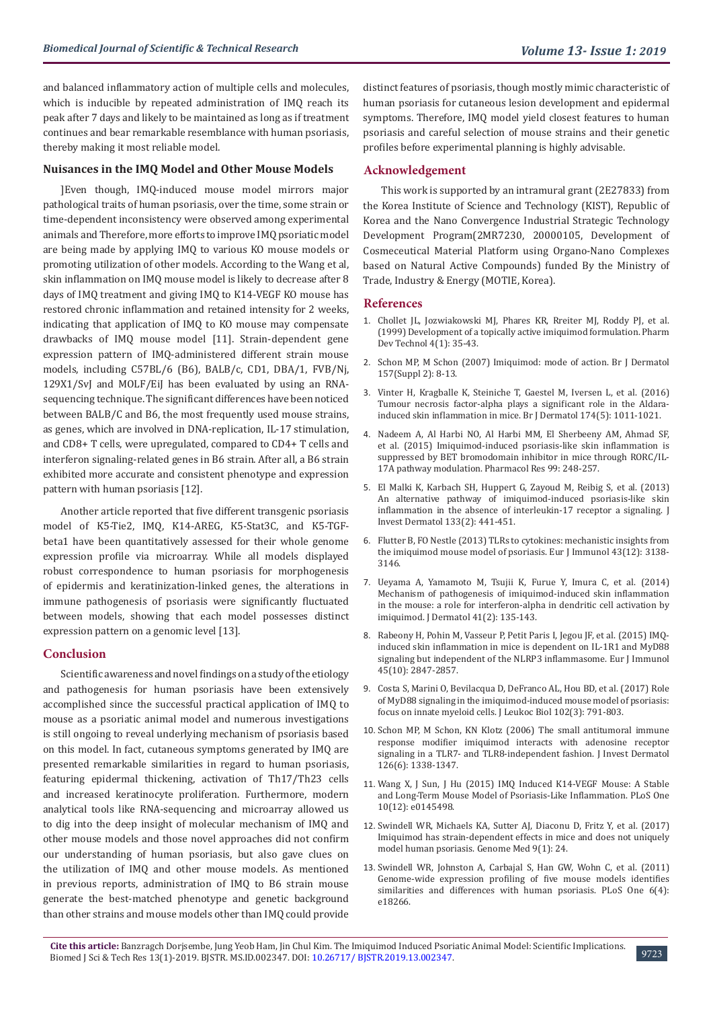and balanced inflammatory action of multiple cells and molecules, which is inducible by repeated administration of IMQ reach its peak after 7 days and likely to be maintained as long as if treatment continues and bear remarkable resemblance with human psoriasis, thereby making it most reliable model.

#### **Nuisances in the IMQ Model and Other Mouse Models**

]Even though, IMQ-induced mouse model mirrors major pathological traits of human psoriasis, over the time, some strain or time-dependent inconsistency were observed among experimental animals and Therefore, more efforts to improve IMQ psoriatic model are being made by applying IMQ to various KO mouse models or promoting utilization of other models. According to the Wang et al, skin inflammation on IMQ mouse model is likely to decrease after 8 days of IMQ treatment and giving IMQ to K14-VEGF KO mouse has restored chronic inflammation and retained intensity for 2 weeks, indicating that application of IMQ to KO mouse may compensate drawbacks of IMQ mouse model [11]. Strain-dependent gene expression pattern of IMQ-administered different strain mouse models, including C57BL/6 (B6), BALB/c, CD1, DBA/1, FVB/Nj, 129X1/SvJ and MOLF/EiJ has been evaluated by using an RNAsequencing technique. The significant differences have been noticed between BALB/C and B6, the most frequently used mouse strains, as genes, which are involved in DNA-replication, IL-17 stimulation, and CD8+ T cells, were upregulated, compared to CD4+ T cells and interferon signaling-related genes in B6 strain. After all, a B6 strain exhibited more accurate and consistent phenotype and expression pattern with human psoriasis [12].

Another article reported that five different transgenic psoriasis model of K5-Tie2, IMQ, K14-AREG, K5-Stat3C, and K5-TGFbeta1 have been quantitatively assessed for their whole genome expression profile via microarray. While all models displayed robust correspondence to human psoriasis for morphogenesis of epidermis and keratinization-linked genes, the alterations in immune pathogenesis of psoriasis were significantly fluctuated between models, showing that each model possesses distinct expression pattern on a genomic level [13].

#### **Conclusion**

Scientific awareness and novel findings on a study of the etiology and pathogenesis for human psoriasis have been extensively accomplished since the successful practical application of IMQ to mouse as a psoriatic animal model and numerous investigations is still ongoing to reveal underlying mechanism of psoriasis based on this model. In fact, cutaneous symptoms generated by IMQ are presented remarkable similarities in regard to human psoriasis, featuring epidermal thickening, activation of Th17/Th23 cells and increased keratinocyte proliferation. Furthermore, modern analytical tools like RNA-sequencing and microarray allowed us to dig into the deep insight of molecular mechanism of IMQ and other mouse models and those novel approaches did not confirm our understanding of human psoriasis, but also gave clues on the utilization of IMQ and other mouse models. As mentioned in previous reports, administration of IMQ to B6 strain mouse generate the best-matched phenotype and genetic background than other strains and mouse models other than IMQ could provide distinct features of psoriasis, though mostly mimic characteristic of human psoriasis for cutaneous lesion development and epidermal symptoms. Therefore, IMQ model yield closest features to human psoriasis and careful selection of mouse strains and their genetic profiles before experimental planning is highly advisable.

#### **Acknowledgement**

This work is supported by an intramural grant (2E27833) from the Korea Institute of Science and Technology (KIST), Republic of Korea and the Nano Convergence Industrial Strategic Technology Development Program(2MR7230, 20000105, Development of Cosmeceutical Material Platform using Organo-Nano Complexes based on Natural Active Compounds) funded By the Ministry of Trade, Industry & Energy (MOTIE, Korea).

#### **References**

- 1. [Chollet JL, Jozwiakowski MJ, Phares KR, Rreiter MJ, Roddy PJ, et al.](https://www.ncbi.nlm.nih.gov/pubmed/10027211) [\(1999\) Development of a topically active imiquimod formulation. Pharm](https://www.ncbi.nlm.nih.gov/pubmed/10027211) [Dev Technol 4\(1\): 35-43.](https://www.ncbi.nlm.nih.gov/pubmed/10027211)
- 2. [Schon MP, M Schon \(2007\) Imiquimod: mode of action. Br J Dermatol](https://www.ncbi.nlm.nih.gov/pubmed/18067624) [157\(Suppl 2\): 8-13.](https://www.ncbi.nlm.nih.gov/pubmed/18067624)
- 3. [Vinter H, Kragballe K, Steiniche T, Gaestel M, Iversen L, et al. \(2016\)](https://www.ncbi.nlm.nih.gov/pubmed/26614407) [Tumour necrosis factor-alpha plays a significant role in the Aldara](https://www.ncbi.nlm.nih.gov/pubmed/26614407)[induced skin inflammation in mice. Br J Dermatol 174\(5\): 1011-1021.](https://www.ncbi.nlm.nih.gov/pubmed/26614407)
- 4. [Nadeem A, Al Harbi NO, Al Harbi MM, El Sherbeeny AM, Ahmad SF,](https://www.ncbi.nlm.nih.gov/pubmed/26149470) [et al. \(2015\) Imiquimod-induced psoriasis-like skin inflammation is](https://www.ncbi.nlm.nih.gov/pubmed/26149470) [suppressed by BET bromodomain inhibitor in mice through RORC/IL-](https://www.ncbi.nlm.nih.gov/pubmed/26149470)[17A pathway modulation. Pharmacol Res 99: 248-257.](https://www.ncbi.nlm.nih.gov/pubmed/26149470)
- 5. [El Malki K, Karbach SH, Huppert G, Zayoud M, Reibig S, et al. \(2013\)](https://www.ncbi.nlm.nih.gov/pubmed/22951726) [An alternative pathway of imiquimod-induced psoriasis-like skin](https://www.ncbi.nlm.nih.gov/pubmed/22951726) [inflammation in the absence of interleukin-17 receptor a signaling. J](https://www.ncbi.nlm.nih.gov/pubmed/22951726) [Invest Dermatol 133\(2\): 441-451.](https://www.ncbi.nlm.nih.gov/pubmed/22951726)
- 6. [Flutter B, FO Nestle \(2013\) TLRs to cytokines: mechanistic insights from](https://www.ncbi.nlm.nih.gov/pubmed/24254490) [the imiquimod mouse model of psoriasis. Eur J Immunol 43\(12\): 3138-](https://www.ncbi.nlm.nih.gov/pubmed/24254490) [3146.](https://www.ncbi.nlm.nih.gov/pubmed/24254490)
- 7. [Ueyama A, Yamamoto M, Tsujii K, Furue Y, Imura C, et al. \(2014\)](https://www.ncbi.nlm.nih.gov/pubmed/24387343) [Mechanism of pathogenesis of imiquimod-induced skin inflammation](https://www.ncbi.nlm.nih.gov/pubmed/24387343) [in the mouse: a role for interferon-alpha in dendritic cell activation by](https://www.ncbi.nlm.nih.gov/pubmed/24387343) [imiquimod. J Dermatol 41\(2\): 135-143.](https://www.ncbi.nlm.nih.gov/pubmed/24387343)
- 8. [Rabeony H, Pohin M, Vasseur P, Petit Paris I, Jegou JF, et al. \(2015\) IMQ](https://www.ncbi.nlm.nih.gov/pubmed/26147228)[induced skin inflammation in mice is dependent on IL-1R1 and MyD88](https://www.ncbi.nlm.nih.gov/pubmed/26147228) [signaling but independent of the NLRP3 inflammasome. Eur J Immunol](https://www.ncbi.nlm.nih.gov/pubmed/26147228) [45\(10\): 2847-2857.](https://www.ncbi.nlm.nih.gov/pubmed/26147228)
- 9. [Costa S, Marini O, Bevilacqua D, DeFranco AL, Hou BD, et al. \(2017\) Role](https://www.ncbi.nlm.nih.gov/pubmed/28642279) [of MyD88 signaling in the imiquimod-induced mouse model of psoriasis:](https://www.ncbi.nlm.nih.gov/pubmed/28642279) [focus on innate myeloid cells. J Leukoc Biol 102\(3\): 791-803.](https://www.ncbi.nlm.nih.gov/pubmed/28642279)
- 10. [Schon MP, M Schon, KN Klotz \(2006\) The small antitumoral immune](https://www.ncbi.nlm.nih.gov/pubmed/16575388) [response modifier imiquimod interacts with adenosine receptor](https://www.ncbi.nlm.nih.gov/pubmed/16575388) [signaling in a TLR7- and TLR8-independent fashion. J Invest Dermatol](https://www.ncbi.nlm.nih.gov/pubmed/16575388) [126\(6\): 1338-1347.](https://www.ncbi.nlm.nih.gov/pubmed/16575388)
- 11. [Wang X, J Sun, J Hu \(2015\) IMQ Induced K14-VEGF Mouse: A Stable](https://journals.plos.org/plosone/article?id=10.1371/journal.pone.0145498) [and Long-Term Mouse Model of Psoriasis-Like Inflammation. PLoS One](https://journals.plos.org/plosone/article?id=10.1371/journal.pone.0145498) [10\(12\): e0145498.](https://journals.plos.org/plosone/article?id=10.1371/journal.pone.0145498)
- 12. [Swindell WR, Michaels KA, Sutter AJ, Diaconu D, Fritz Y, et al. \(2017\)](https://genomemedicine.biomedcentral.com/articles/10.1186/s13073-017-0415-3) [Imiquimod has strain-dependent effects in mice and does not uniquely](https://genomemedicine.biomedcentral.com/articles/10.1186/s13073-017-0415-3) [model human psoriasis. Genome Med 9\(1\): 24.](https://genomemedicine.biomedcentral.com/articles/10.1186/s13073-017-0415-3)
- 13. [Swindell WR, Johnston A, Carbajal S, Han GW, Wohn C, et al. \(2011\)](https://journals.plos.org/plosone/article?id=10.1371/journal.pone.0018266) [Genome-wide expression profiling of five mouse models identifies](https://journals.plos.org/plosone/article?id=10.1371/journal.pone.0018266) [similarities and differences with human psoriasis. PLoS One 6\(4\):](https://journals.plos.org/plosone/article?id=10.1371/journal.pone.0018266) [e18266.](https://journals.plos.org/plosone/article?id=10.1371/journal.pone.0018266)